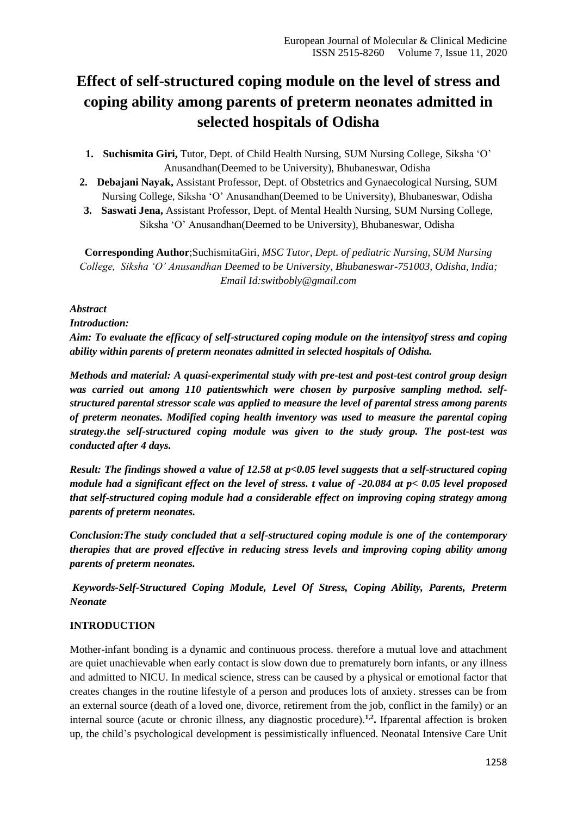# **Effect of self-structured coping module on the level of stress and coping ability among parents of preterm neonates admitted in selected hospitals of Odisha**

- **1. Suchismita Giri,** Tutor, Dept. of Child Health Nursing, SUM Nursing College, Siksha 'O' Anusandhan(Deemed to be University), Bhubaneswar, Odisha
- **2. Debajani Nayak,** Assistant Professor, Dept. of Obstetrics and Gynaecological Nursing, SUM Nursing College, Siksha 'O' Anusandhan(Deemed to be University), Bhubaneswar, Odisha
- **3. Saswati Jena,** Assistant Professor, Dept. of Mental Health Nursing, SUM Nursing College, Siksha 'O' Anusandhan(Deemed to be University), Bhubaneswar, Odisha

**Corresponding Author**;SuchismitaGiri, *MSC Tutor, Dept. of pediatric Nursing, SUM Nursing College, Siksha 'O' Anusandhan Deemed to be University, Bhubaneswar-751003, Odisha, India; Email Id:switbobly@gmail.com*

# *Abstract*

#### *Introduction:*

*Aim: To evaluate the efficacy of self-structured coping module on the intensityof stress and coping ability within parents of preterm neonates admitted in selected hospitals of Odisha.*

*Methods and material: A quasi-experimental study with pre-test and post-test control group design was carried out among 110 patientswhich were chosen by purposive sampling method. selfstructured parental stressor scale was applied to measure the level of parental stress among parents of preterm neonates. Modified coping health inventory was used to measure the parental coping strategy.the self-structured coping module was given to the study group. The post-test was conducted after 4 days.*

*Result: The findings showed a value of 12.58 at p<0.05 level suggests that a self-structured coping module had a significant effect on the level of stress. t value of -20.084 at p< 0.05 level proposed that self-structured coping module had a considerable effect on improving coping strategy among parents of preterm neonates.* 

*Conclusion:The study concluded that a self-structured coping module is one of the contemporary therapies that are proved effective in reducing stress levels and improving coping ability among parents of preterm neonates.*

*Keywords-Self-Structured Coping Module, Level Of Stress, Coping Ability, Parents, Preterm Neonate*

# **INTRODUCTION**

Mother-infant bonding is a dynamic and continuous process. therefore a mutual love and attachment are quiet unachievable when early contact is slow down due to prematurely born infants, or any illness and admitted to NICU. In medical science, stress can be caused by a physical or emotional factor that creates changes in the routine lifestyle of a person and produces lots of anxiety. stresses can be from an external source (death of a loved one, divorce, retirement from the job, conflict in the family) or an internal source (acute or chronic illness, any diagnostic procedure).<sup>1,2</sup>. Ifparental affection is broken up, the child's psychological development is pessimistically influenced. Neonatal Intensive Care Unit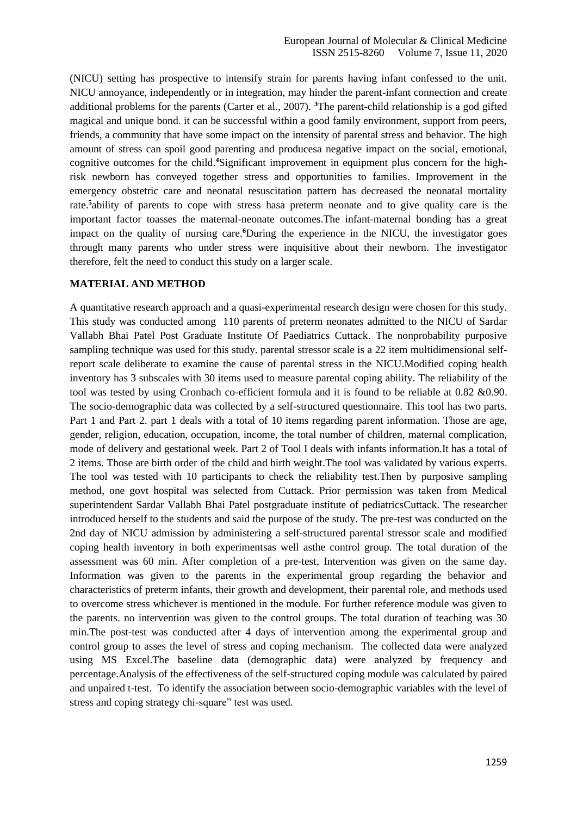(NICU) setting has prospective to intensify strain for parents having infant confessed to the unit. NICU annoyance, independently or in integration, may hinder the parent-infant connection and create additional problems for the parents (Carter et al., 2007). **<sup>3</sup>**The parent-child relationship is a god gifted magical and unique bond. it can be successful within a good family environment, support from peers, friends, a community that have some impact on the intensity of parental stress and behavior. The high amount of stress can spoil good parenting and producesa negative impact on the social, emotional, cognitive outcomes for the child.**4**Significant improvement in equipment plus concern for the highrisk newborn has conveyed together stress and opportunities to families. Improvement in the emergency obstetric care and neonatal resuscitation pattern has decreased the neonatal mortality rate.**<sup>5</sup>** ability of parents to cope with stress hasa preterm neonate and to give quality care is the important factor toasses the maternal-neonate outcomes.The infant-maternal bonding has a great impact on the quality of nursing care.<sup>6</sup>During the experience in the NICU, the investigator goes through many parents who under stress were inquisitive about their newborn. The investigator therefore, felt the need to conduct this study on a larger scale.

#### **MATERIAL AND METHOD**

A quantitative research approach and a quasi-experimental research design were chosen for this study. This study was conducted among 110 parents of preterm neonates admitted to the NICU of Sardar Vallabh Bhai Patel Post Graduate Institute Of Paediatrics Cuttack. The nonprobability purposive sampling technique was used for this study. parental stressor scale is a 22 item multidimensional selfreport scale deliberate to examine the cause of parental stress in the NICU.Modified coping health inventory has 3 subscales with 30 items used to measure parental coping ability. The reliability of the tool was tested by using Cronbach co-efficient formula and it is found to be reliable at 0.82 &0.90. The socio-demographic data was collected by a self-structured questionnaire. This tool has two parts. Part 1 and Part 2. part 1 deals with a total of 10 items regarding parent information. Those are age, gender, religion, education, occupation, income, the total number of children, maternal complication, mode of delivery and gestational week. Part 2 of Tool I deals with infants information.It has a total of 2 items. Those are birth order of the child and birth weight.The tool was validated by various experts. The tool was tested with 10 participants to check the reliability test.Then by purposive sampling method, one govt hospital was selected from Cuttack. Prior permission was taken from Medical superintendent Sardar Vallabh Bhai Patel postgraduate institute of pediatricsCuttack. The researcher introduced herself to the students and said the purpose of the study. The pre-test was conducted on the 2nd day of NICU admission by administering a self-structured parental stressor scale and modified coping health inventory in both experimentsas well asthe control group. The total duration of the assessment was 60 min. After completion of a pre-test, Intervention was given on the same day. Information was given to the parents in the experimental group regarding the behavior and characteristics of preterm infants, their growth and development, their parental role, and methods used to overcome stress whichever is mentioned in the module. For further reference module was given to the parents. no intervention was given to the control groups. The total duration of teaching was 30 min.The post-test was conducted after 4 days of intervention among the experimental group and control group to asses the level of stress and coping mechanism. The collected data were analyzed using MS Excel.The baseline data (demographic data) were analyzed by frequency and percentage.Analysis of the effectiveness of the self-structured coping module was calculated by paired and unpaired t-test. To identify the association between socio-demographic variables with the level of stress and coping strategy chi-square" test was used.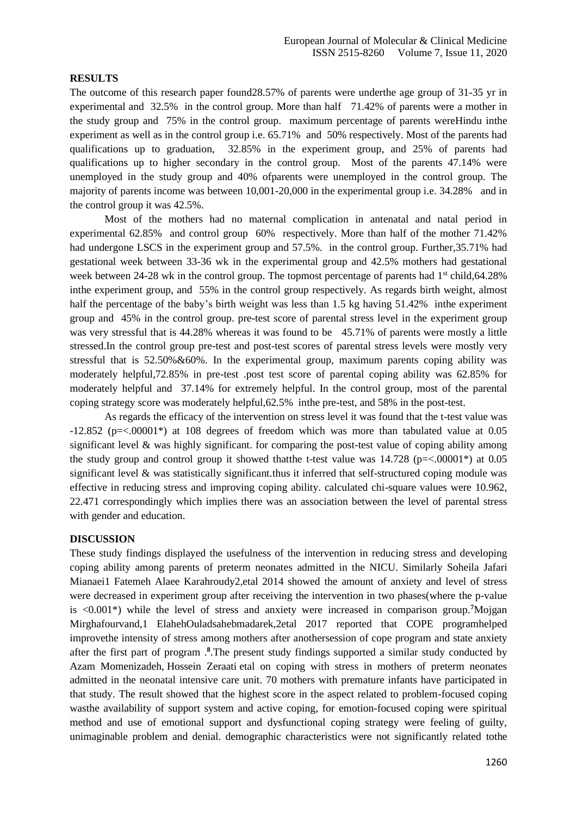#### **RESULTS**

The outcome of this research paper found28.57% of parents were underthe age group of 31-35 yr in experimental and 32.5% in the control group. More than half 71.42% of parents were a mother in the study group and 75% in the control group. maximum percentage of parents wereHindu inthe experiment as well as in the control group i.e. 65.71% and 50% respectively. Most of the parents had qualifications up to graduation, 32.85% in the experiment group, and 25% of parents had qualifications up to higher secondary in the control group. Most of the parents 47.14% were unemployed in the study group and 40% ofparents were unemployed in the control group. The majority of parents income was between 10,001-20,000 in the experimental group i.e. 34.28% and in the control group it was 42.5%.

Most of the mothers had no maternal complication in antenatal and natal period in experimental 62.85% and control group 60% respectively. More than half of the mother 71.42% had undergone LSCS in the experiment group and 57.5%. in the control group. Further,35.71% had gestational week between 33-36 wk in the experimental group and 42.5% mothers had gestational week between 24-28 wk in the control group. The topmost percentage of parents had 1<sup>st</sup> child,64.28% inthe experiment group, and 55% in the control group respectively. As regards birth weight, almost half the percentage of the baby's birth weight was less than 1.5 kg having 51.42% inthe experiment group and 45% in the control group. pre-test score of parental stress level in the experiment group was very stressful that is 44.28% whereas it was found to be 45.71% of parents were mostly a little stressed.In the control group pre-test and post-test scores of parental stress levels were mostly very stressful that is  $52.50\% \& 60\%$ . In the experimental group, maximum parents coping ability was moderately helpful,72.85% in pre-test .post test score of parental coping ability was 62.85% for moderately helpful and 37.14% for extremely helpful. In the control group, most of the parental coping strategy score was moderately helpful,62.5% inthe pre-test, and 58% in the post-test.

As regards the efficacy of the intervention on stress level it was found that the t-test value was -12.852 (p=<.00001\*) at 108 degrees of freedom which was more than tabulated value at 0.05 significant level & was highly significant. for comparing the post-test value of coping ability among the study group and control group it showed that the t-test value was  $14.728$  ( $p = < .00001^*$ ) at 0.05 significant level & was statistically significant.thus it inferred that self-structured coping module was effective in reducing stress and improving coping ability. calculated chi-square values were 10.962, 22.471 correspondingly which implies there was an association between the level of parental stress with gender and education.

#### **DISCUSSION**

These study findings displayed the usefulness of the intervention in reducing stress and developing coping ability among parents of preterm neonates admitted in the NICU. Similarly Soheila Jafari Mianaei1 Fatemeh Alaee Karahroudy2,etal 2014 showed the amount of anxiety and level of stress were decreased in experiment group after receiving the intervention in two phases(where the p-value is <0.001\*) while the level of stress and anxiety were increased in comparison group.**<sup>7</sup>**Mojgan Mirghafourvand,1 ElahehOuladsahebmadarek,2etal 2017 reported that COPE programhelped improvethe intensity of stress among mothers after anothersession of cope program and state anxiety after the first part of program .**<sup>8</sup>** .The present study findings supported a similar study conducted by Azam [Momenizadeh,](http://jpen.ir/search.php?sid=1&slc_lang=en&auth=Momenizadeh) [Hossein](http://jpen.ir/search.php?sid=1&slc_lang=en&auth=Zeraati) Zeraati etal on coping with stress in mothers of preterm neonates admitted in the neonatal intensive care unit. 70 mothers with premature infants have participated in that study. The result showed that the highest score in the aspect related to problem-focused coping wasthe availability of support system and active coping, for emotion-focused coping were spiritual method and use of emotional support and dysfunctional coping strategy were feeling of guilty, unimaginable problem and denial. demographic characteristics were not significantly related tothe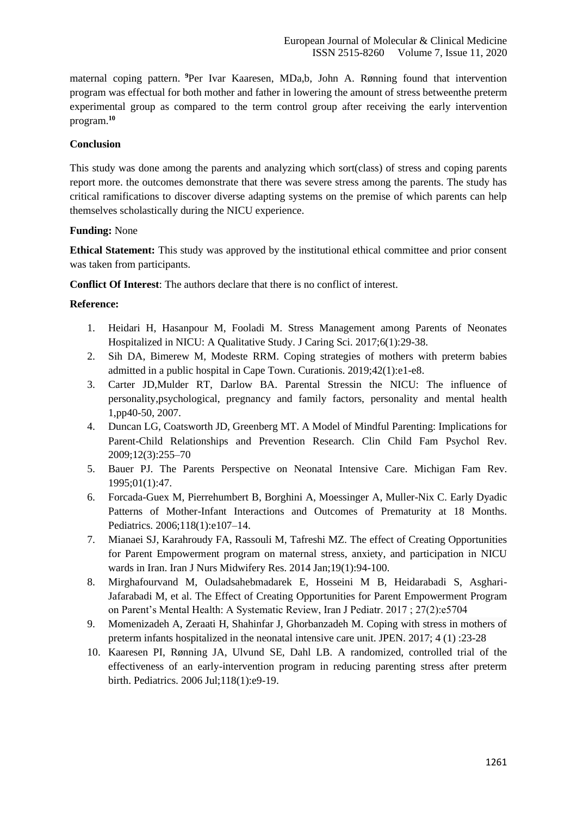maternal coping pattern. **<sup>9</sup>**Per Ivar Kaaresen, MDa,b, John A. Rønning found that intervention program was effectual for both mother and father in lowering the amount of stress betweenthe preterm experimental group as compared to the term control group after receiving the early intervention program.**<sup>10</sup>**

## **Conclusion**

This study was done among the parents and analyzing which sort(class) of stress and coping parents report more. the outcomes demonstrate that there was severe stress among the parents. The study has critical ramifications to discover diverse adapting systems on the premise of which parents can help themselves scholastically during the NICU experience.

## **Funding:** None

**Ethical Statement:** This study was approved by the institutional ethical committee and prior consent was taken from participants.

**Conflict Of Interest**: The authors declare that there is no conflict of interest.

## **Reference:**

- 1. Heidari H, Hasanpour M, Fooladi M. Stress Management among Parents of Neonates Hospitalized in NICU: A Qualitative Study. J Caring Sci. 2017;6(1):29-38.
- 2. Sih DA, Bimerew M, Modeste RRM. Coping strategies of mothers with preterm babies admitted in a public hospital in Cape Town. Curationis. 2019;42(1):e1-e8.
- 3. Carter JD,Mulder RT, Darlow BA. Parental Stressin the NICU: The influence of personality,psychological, pregnancy and family factors, personality and mental health 1,pp40-50, 2007.
- 4. Duncan LG, Coatsworth JD, Greenberg MT. A Model of Mindful Parenting: Implications for Parent-Child Relationships and Prevention Research. Clin Child Fam Psychol Rev. 2009;12(3):255–70
- 5. Bauer PJ. The Parents Perspective on Neonatal Intensive Care. Michigan Fam Rev. 1995;01(1):47.
- 6. Forcada-Guex M, Pierrehumbert B, Borghini A, Moessinger A, Muller-Nix C. Early Dyadic Patterns of Mother-Infant Interactions and Outcomes of Prematurity at 18 Months. Pediatrics. 2006;118(1):e107–14.
- 7. Mianaei SJ, Karahroudy FA, Rassouli M, Tafreshi MZ. The effect of Creating Opportunities for Parent Empowerment program on maternal stress, anxiety, and participation in NICU wards in Iran. Iran J Nurs Midwifery Res. 2014 Jan;19(1):94-100.
- 8. Mirghafourvand M, Ouladsahebmadarek E, Hosseini M B, Heidarabadi S, Asghari-Jafarabadi M, et al. The Effect of Creating Opportunities for Parent Empowerment Program on Parent's Mental Health: A Systematic Review, Iran J Pediatr. 2017 ; 27(2):e5704
- 9. Momenizadeh A, Zeraati H, Shahinfar J, Ghorbanzadeh M. Coping with stress in mothers of preterm infants hospitalized in the neonatal intensive care unit. JPEN. 2017; 4 (1) :23-28
- 10. Kaaresen PI, Rønning JA, Ulvund SE, Dahl LB. A randomized, controlled trial of the effectiveness of an early-intervention program in reducing parenting stress after preterm birth. Pediatrics. 2006 Jul;118(1):e9-19.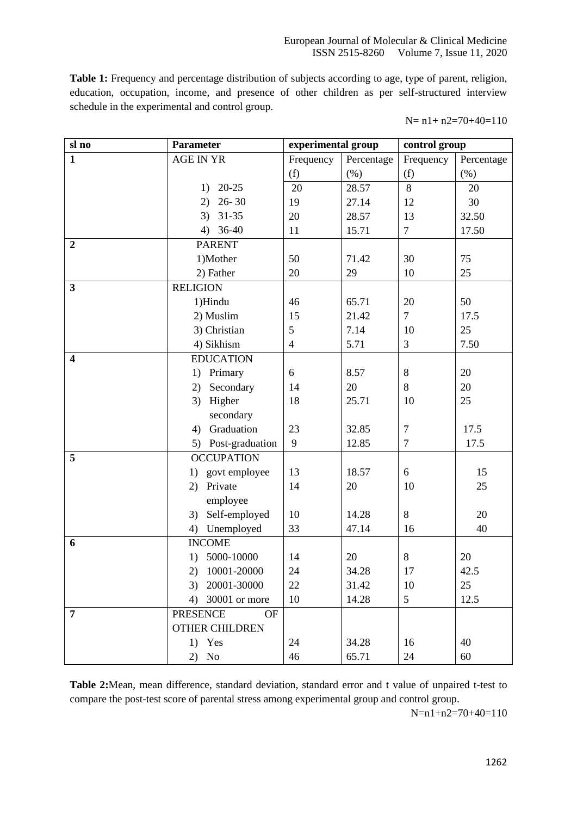**Table 1:** Frequency and percentage distribution of subjects according to age, type of parent, religion, education, occupation, income, and presence of other children as per self-structured interview schedule in the experimental and control group.

N= n1+ n2=70+40=110

| sl no                   | <b>Parameter</b>             | experimental group |            | control group   |            |
|-------------------------|------------------------------|--------------------|------------|-----------------|------------|
| $\mathbf{1}$            | <b>AGE IN YR</b>             | Frequency          | Percentage | Frequency       | Percentage |
|                         |                              | (f)                | (% )       | (f)             | (% )       |
|                         | 20-25<br>1)                  | 20                 | 28.57      | 8               | 20         |
|                         | $26 - 30$<br>2)              | 19                 | 27.14      | 12              | 30         |
|                         | $3)$ 31-35                   | 20                 | 28.57      | 13              | 32.50      |
|                         | 4) $36-40$                   | 11                 | 15.71      | $\overline{7}$  | 17.50      |
| $\overline{2}$          | <b>PARENT</b>                |                    |            |                 |            |
|                         | 1)Mother                     | 50                 | 71.42      | 30              | 75         |
|                         | 2) Father                    | 20                 | 29         | 10              | 25         |
| $\mathbf{3}$            | <b>RELIGION</b>              |                    |            |                 |            |
|                         | 1)Hindu                      | 46                 | 65.71      | 20              | 50         |
|                         | 2) Muslim                    | 15                 | 21.42      | $\overline{7}$  | 17.5       |
|                         | 3) Christian                 | 5                  | 7.14       | 10              | 25         |
|                         | 4) Sikhism                   | $\overline{4}$     | 5.71       | 3               | 7.50       |
| $\overline{\mathbf{4}}$ | <b>EDUCATION</b>             |                    |            |                 |            |
|                         | Primary<br>1)                | 6                  | 8.57       | 8               | 20         |
|                         | Secondary<br>2)              | 14                 | 20         | 8               | 20         |
|                         | Higher<br>3)                 | 18                 | 25.71      | 10              | 25         |
|                         | secondary                    |                    |            |                 |            |
|                         | Graduation<br>4)             | 23                 | 32.85      | $\tau$          | 17.5       |
|                         | Post-graduation<br>5)        | 9                  | 12.85      | $\tau$          | 17.5       |
| 5                       | <b>OCCUPATION</b>            |                    |            |                 |            |
|                         | govt employee<br>1)          | 13                 | 18.57      | 6               | 15         |
|                         | Private<br>2)                | 14                 | 20         | 10              | 25         |
|                         | employee                     |                    |            |                 |            |
|                         | Self-employed<br>3)          | 10                 | 14.28      | 8               | 20         |
|                         | Unemployed<br>4)             | 33                 | 47.14      | 16              | 40         |
| 6                       | <b>INCOME</b>                |                    |            |                 |            |
|                         | 5000-10000<br>1)             | 14                 | 20         | $8\,$           | 20         |
|                         | 2) 10001-20000               | 24                 | 34.28      | 17              | 42.5       |
|                         | 3) 20001-30000               | 22                 | 31.42      | 10              | 25         |
|                         | 4) 30001 or more             | 10                 | 14.28      | $5\overline{)}$ | 12.5       |
| $\overline{7}$          | <b>PRESENCE</b><br><b>OF</b> |                    |            |                 |            |
|                         | <b>OTHER CHILDREN</b>        |                    |            |                 |            |
|                         | $1)$ Yes                     | 24                 | 34.28      | 16              | 40         |
|                         | $2)$ No                      | 46                 | 65.71      | 24              | 60         |

**Table 2:**Mean, mean difference, standard deviation, standard error and t value of unpaired t-test to compare the post-test score of parental stress among experimental group and control group.

N=n1+n2=70+40=110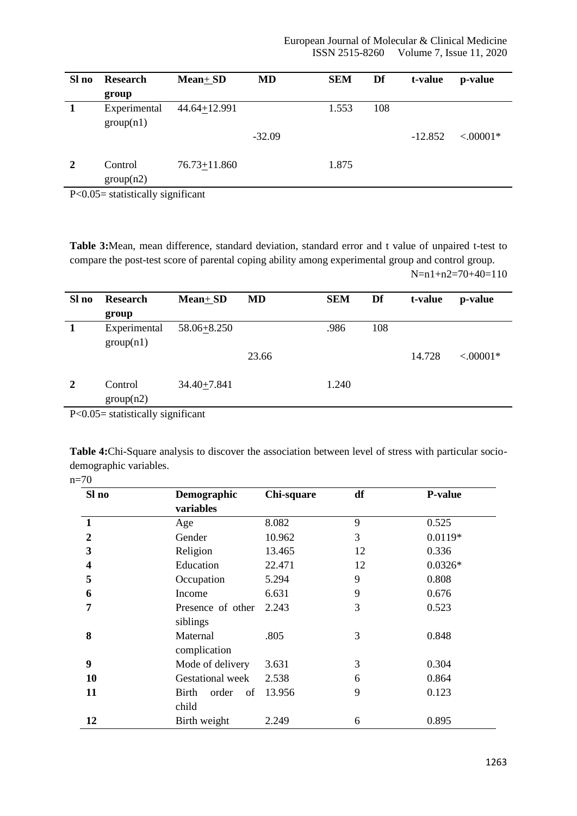| Sl no                     | <b>Research</b>                                       | <b>Mean+SD</b>   | <b>MD</b> | <b>SEM</b> | Df  | t-value   | p-value     |
|---------------------------|-------------------------------------------------------|------------------|-----------|------------|-----|-----------|-------------|
|                           | group                                                 |                  |           |            |     |           |             |
| 1                         | Experimental                                          | 44.64+12.991     |           | 1.553      | 108 |           |             |
|                           | group(n1)                                             |                  |           |            |     |           |             |
|                           |                                                       |                  | $-32.09$  |            |     | $-12.852$ | $< .00001*$ |
|                           |                                                       |                  |           |            |     |           |             |
| 2                         | Control                                               | $76.73 + 11.860$ |           | 1.875      |     |           |             |
|                           | group(n2)                                             |                  |           |            |     |           |             |
| $\mathbf{R}$ $\mathbf{A}$ | $\cdot$<br>$-1.5$ , $-1.5$ , $-1.5$ , $-1.4$ , $-1.5$ | $\cdot$ $\sim$   |           |            |     |           |             |

P<0.05= statistically significant

**Table 3:**Mean, mean difference, standard deviation, standard error and t value of unpaired t-test to compare the post-test score of parental coping ability among experimental group and control group. N=n1+n2=70+40=110

| Sl no                     | <b>Research</b>                                         | <b>Mean+SD</b> | MD    | <b>SEM</b> | Df  | t-value | p-value     |
|---------------------------|---------------------------------------------------------|----------------|-------|------------|-----|---------|-------------|
|                           | group                                                   |                |       |            |     |         |             |
| 1                         | Experimental                                            | 58.06+8.250    |       | .986       | 108 |         |             |
|                           | group(n1)                                               |                |       |            |     |         |             |
|                           |                                                         |                | 23.66 |            |     | 14.728  | $< .00001*$ |
|                           |                                                         |                |       |            |     |         |             |
| 2                         | Control                                                 | 34.40+7.841    |       | 1.240      |     |         |             |
|                           | group(n2)                                               |                |       |            |     |         |             |
| $\mathbf{R}$ $\mathbf{A}$ | $\bullet$<br>$-1.5$ , $-1.5$ , $-1.5$ , $-1.4$ , $-1.4$ | $\cdot$ $\sim$ |       |            |     |         |             |

P<0.05= statistically significant

**Table 4:**Chi-Square analysis to discover the association between level of stress with particular sociodemographic variables.

| ۰. |
|----|
|----|

| Sl no                   | Demographic          | Chi-square | df | <b>P-value</b> |
|-------------------------|----------------------|------------|----|----------------|
|                         | variables            |            |    |                |
| 1                       | Age                  | 8.082      | 9  | 0.525          |
| 2                       | Gender               | 10.962     | 3  | $0.0119*$      |
| 3                       | Religion             | 13.465     | 12 | 0.336          |
| $\overline{\mathbf{4}}$ | Education            | 22.471     | 12 | $0.0326*$      |
| 5                       | Occupation           | 5.294      | 9  | 0.808          |
| 6                       | Income               | 6.631      | 9  | 0.676          |
| 7                       | Presence of other    | 2.243      | 3  | 0.523          |
|                         | siblings             |            |    |                |
| 8                       | Maternal             | .805       | 3  | 0.848          |
|                         | complication         |            |    |                |
| 9                       | Mode of delivery     | 3.631      | 3  | 0.304          |
| 10                      | Gestational week     | 2.538      | 6  | 0.864          |
| 11                      | Birth<br>order<br>of | 13.956     | 9  | 0.123          |
|                         | child                |            |    |                |
| 12                      | Birth weight         | 2.249      | 6  | 0.895          |